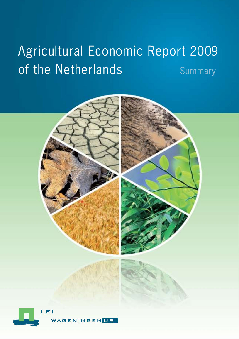# Agricultural Economic Report 2009 of the Netherlands Summary

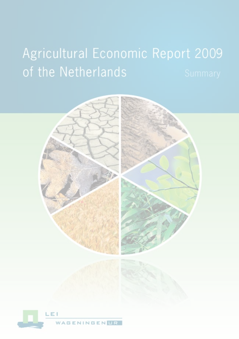# **Agricultural Economic Report 2009** of the Netherlands

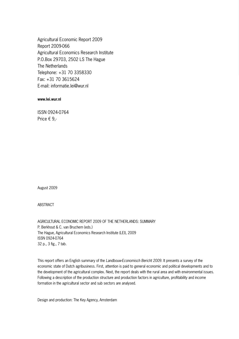Agricultural Economic Report 2009 Report 2009-066 Agricultural Economics Research Institute P.O.Box 29703, 2502 LS The Hague The Netherlands Telephone: +31 70 3358330 Fax: +31 70 3615624 E-mail: informatie.lei@wur.nl

#### **www.lei.wur.nl**

ISSN 0924-0764 Price € 9,-

August 2009

**ABSTRACT** 

AGRICULTURAL ECONOMIC REPORT 2009 OF THE NETHERLANDS: SUMMARY P. Berkhout & C. van Bruchem (eds.) The Hague, Agricultural Economics Research Institute (LEI), 2009 ISSN 0924-0764 32 p., 3 fig., 7 tab.

This report offers an English summary of the *Landbouw-Economisch Bericht 2009*. It presents a survey of the economic state of Dutch agribusiness. First, attention is paid to general economic and political developments and to the development of the agricultural complex. Next, the report deals with the rural area and with environmental issues. Following a description of the production structure and production factors in agriculture, profitability and income formation in the agricultural sector and sub sectors are analysed.

Design and production: The Key Agency, Amsterdam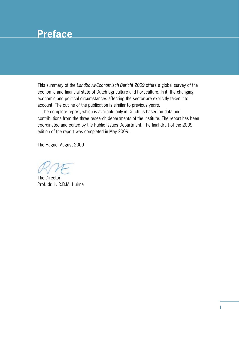# **Preface**

This summary of the *Landbouw-Economisch Bericht 2009* offers a global survey of the economic and financial state of Dutch agriculture and horticulture. In it, the changing economic and political circumstances affecting the sector are explicitly taken into account. The outline of the publication is similar to previous years.

The complete report, which is available only in Dutch, is based on data and contributions from the three research departments of the Institute. The report has been coordinated and edited by the Public Issues Department. The final draft of the 2009 edition of the report was completed in May 2009.

The Hague, August 2009

The Director, Prof. dr. ir. R.B.M. Huirne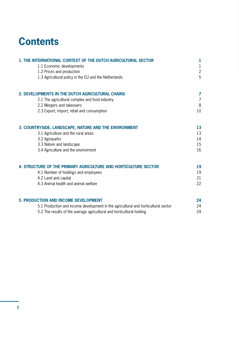# **Contents**

| 1. THE INTERNATIONAL CONTEXT OF THE DUTCH AGRICULTURAL SECTOR                      | 1              |
|------------------------------------------------------------------------------------|----------------|
| 1.1 Economic developments                                                          | $\mathbf{1}$   |
| 1.2 Prices and production                                                          | $\overline{c}$ |
| 1.3 Agricultural policy in the EU and the Netherlands                              | 5              |
| 2. DEVELOPMENTS IN THE DUTCH AGRICULTURAL CHAINS                                   | 7              |
| 2.1 The agricultural complex and food industry                                     | $\overline{7}$ |
| 2.2 Mergers and takeovers                                                          | 8              |
| 2.3 Export, import, retail and consumption                                         | 10             |
| 3. COUNTRYSIDE, LANDSCAPE, NATURE AND THE ENVIRONMENT                              | 13             |
| 3.1 Agriculture and the rural areas                                                | 13             |
| 3.2 Agroparks                                                                      | 14             |
| 3.3 Nature and landscape                                                           | 15             |
| 3.4 Agriculture and the environment                                                | 16             |
| 4. STRUCTURE OF THE PRIMARY AGRICULTURE AND HORTICULTURE SECTOR                    | 19             |
| 4.1 Number of holdings and employees                                               | 19             |
| 4.2 Land and capital                                                               | 21             |
| 4.3 Animal health and animal welfare                                               | 22             |
| <b>5. PRODUCTION AND INCOME DEVELOPMENT</b>                                        | 24             |
| 5.1 Production and income development in the agricultural and horticultural sector | 24             |
| 5.2 The results of the average agricultural and horticultural holding              | 24             |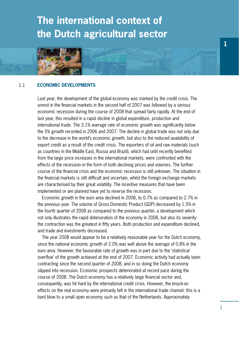# **The international context of the Dutch agricultural sector**



# 1.1 **Economic developments**

Last year, the development of the global economy was marked by the credit crisis. The unrest in the financial markets in the second half of 2007 was followed by a serious economic recession during the course of 2008 that spread fairly rapidly. At the end of last year, this resulted in a rapid decline in global expenditure, production and international trade. The 3.1% average rate of economic growth was significantly below the 5% growth recorded in 2006 and 2007. The decline in global trade was not only due to the decrease in the world's economic growth, but also to the reduced availability of export credit as a result of the credit crisis. The exporters of oil and raw materials (such as countries in the Middle East, Russia and Brazil), which had until recently benefited from the large price increases in the international markets, were confronted with the effects of the recession in the form of both declining prices and volumes. The further course of the financial crisis and the economic recession is still unknown. The situation in the financial markets is still difficult and uncertain, whilst the foreign exchange markets are characterised by their great volatility. The incentive measures that have been implemented or are planned have yet to reverse the recession.

Economic growth in the euro area declined in 2008, to 0.7% as compared to 2.7% in the previous year. The volume of Gross Domestic Product (GDP) decreased by 1.5% in the fourth quarter of 2008 as compared to the previous quarter, a development which not only illustrates the rapid deterioration of the economy in 2008, but also its severity: the contraction was the greatest in fifty years. Both production and expenditure declined, and trade and investments decreased.

The year 2008 would appear to be a relatively reasonable year for the Dutch economy, since the national economic growth of 2.0% was well above the average of 0.8% in the euro area. However, the favourable rate of growth was in part due to the 'statistical overflow' of the growth achieved at the end of 2007. Economic activity had actually been contracting since the second quarter of 2008, and in so doing the Dutch economy slipped into recession. Economic prospects deteriorated at record pace during the course of 2008. The Dutch economy has a relatively large financial sector and, consequently, was hit hard by the international credit crisis. However, the knock-on effects on the real economy were primarily felt in the international trade channel: this is a hard blow to a small open economy such as that of the Netherlands. Approximately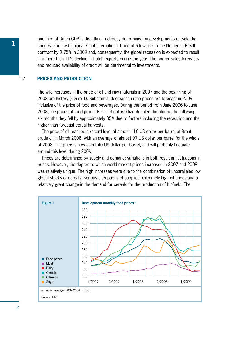one-third of Dutch GDP is directly or indirectly determined by developments outside the<br>country. Forecasts indicate that international trade of relevance to the Netherlands will contract by 9.75% in 2009 and, consequently, the global recession is expected to result in a more than 11% decline in Dutch exports during the year. The poorer sales forecasts and reduced availability of credit will be detrimental to investments.

# 1.2 **Prices and production**

The wild increases in the price of oil and raw materials in 2007 and the beginning of 2008 are history (Figure 1). Substantial decreases in the prices are forecast in 2009, inclusive of the price of food and beverages. During the period from June 2006 to June 2008, the prices of food products (in US dollars) had doubled, but during the following six months they fell by approximately 35% due to factors including the recession and the higher than forecast cereal harvests.

The price of oil reached a record level of almost 110 US dollar per barrel of Brent crude oil in March 2008, with an average of almost 97 US dollar per barrel for the whole of 2008. The price is now about 40 US dollar per barrel, and will probably fluctuate around this level during 2009.

Prices are determined by supply and demand: variations in both result in fluctuations in prices. However, the degree to which world market prices increased in 2007 and 2008 was relatively unique. The high increases were due to the combination of unparalleled low global stocks of cereals, serious disruptions of supplies, extremely high oil prices and a relatively great change in the demand for cereals for the production of biofuels. The

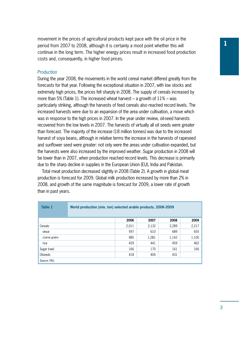**<sup>1</sup>** movement in the prices of agricultural products kept pace with the oil price in the period from 2007 to 2008, although it is certainly a moot point whether this will continue in the long term. The higher energy prices result in increased food production costs and, consequently, in higher food prices.

# *Production*

During the year 2008, the movements in the world cereal market differed greatly from the forecasts for that year. Following the exceptional situation in 2007, with low stocks and extremely high prices, the prices fell sharply in 2008. The supply of cereals increased by more than 5% (Table 1). The increased wheat harvest – a growth of 11% – was particularly striking, although the harvests of feed cereals also reached record levels. The increased harvests were due to an expansion of the area under cultivation, a move which was in response to the high prices in 2007. In the year under review, oil-seed harvests recovered from the low levels in 2007. The harvests of virtually all oil seeds were greater than forecast. The majority of the increase (18 million tonnes) was due to the increased harvest of soya beans, although in relative terms the increase in the harvests of rapeseed and sunflower seed were greater: not only were the areas under cultivation expanded, but the harvests were also increased by the improved weather. Sugar production in 2008 will be lower than in 2007, when production reached record levels. This decrease is primarily due to the sharp decline in supplies in the European Union (EU), India and Pakistan.

Total meat production decreased slightly in 2008 (Table 2). A growth in global meat production is forecast for 2009. Global milk production increased by more than 2% in 2008, and growth of the same magnitude is forecast for 2009, a lower rate of growth than in past years.

| Table 1       | World production (mio. ton) selected arable products, 2006-2009 |       |       |       |       |  |  |  |
|---------------|-----------------------------------------------------------------|-------|-------|-------|-------|--|--|--|
|               |                                                                 | 2006  | 2007  | 2008  | 2009  |  |  |  |
| Cereals       |                                                                 | 2,011 | 2,132 | 2,289 | 2,217 |  |  |  |
| wheat         |                                                                 | 597   | 610   | 689   | 655   |  |  |  |
| coarse grains |                                                                 | 985   | 1,081 | 1,142 | 1,100 |  |  |  |
| rice          |                                                                 | 429   | 441   | 459   | 462   |  |  |  |
| Sugar (raw)   |                                                                 | 166   | 170   | 161   | 166   |  |  |  |
| Oilseeds      |                                                                 | 418   | 404   | 431   |       |  |  |  |
| Source: FAO.  |                                                                 |       |       |       |       |  |  |  |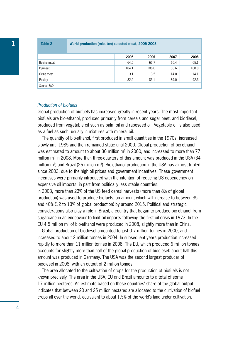**1 Table 2 World production (mio. ton) selected meat, 2005-2008**

|              | 2005  | 2006  | 2007  | 2008  |
|--------------|-------|-------|-------|-------|
| Bovine meat  | 64.5  | 65.7  | 66.4  | 65.1  |
| Pigmeat      | 104.1 | 108.0 | 103.6 | 100.8 |
| Ovine meat   | 13.1  | 13.5  | 14.0  | 14.1  |
| Poultry      | 82.2  | 83.1  | 89.0  | 92.3  |
| Source: FAO. |       |       |       |       |

#### *Production of biofuels*

Global production of biofuels has increased greatly in recent years. The most important biofuels are bio-ethanol, produced primarily from cereals and sugar beet, and biodiesel, produced from vegetable oil such as palm oil and rapeseed oil. Vegetable oil is also used as a fuel as such, usually in mixtures with mineral oil.

The quantity of bio-ethanol, first produced in small quantities in the 1970s, increased slowly until 1985 and then remained static until 2000. Global production of bio-ethanol was estimated to amount to about 30 million  $m<sup>3</sup>$  in 2000, and increased to more than 77 million  $m<sup>3</sup>$  in 2008. More than three-quarters of this amount was produced in the USA (34 million  $m^3$ ) and Brazil (26 million  $m^3$ ). Bio-ethanol production in the USA has almost tripled since 2003, due to the high oil prices and government incentives. These government incentives were primarily introduced with the intention of reducing US dependency on expensive oil imports, in part from politically less stable countries.

In 2003, more than 23% of the US feed cereal harvests (more than 8% of global production) was used to produce biofuels, an amount which will increase to between 35 and 40% (12 to 13% of global production) by around 2015. Political and strategic considerations also play a role in Brazil, a country that began to produce bio-ethanol from sugarcane in an endeavour to limit oil imports following the first oil crisis in 1973. In the EU 4.5 million  $m<sup>3</sup>$  of bio-ethanol were produced in 2008, slightly more than in China.

Global production of biodiesel amounted to just 0.7 million tonnes in 2000, and increased to about 2 million tonnes in 2004. In subsequent years production increased rapidly to more than 11 million tonnes in 2008. The EU, which produced 6 million tonnes, accounts for slightly more than half of the global production of biodiesel: about half this amount was produced in Germany. The USA was the second largest producer of biodiesel in 2008, with an output of 2 million tonnes.

The area allocated to the cultivation of crops for the production of biofuels is not known precisely. The area in the USA, EU and Brazil amounts to a total of some 17 million hectares. An estimate based on these countries' share of the global output indicates that between 20 and 25 million hectares are allocated to the cultivation of biofuel crops all over the world, equivalent to about 1.5% of the world's land under cultivation.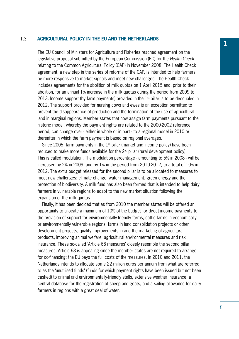# 1.3 **Agricultural policy in the EU and the Netherlands**

The EU Council of Ministers for Agriculture and Fisheries reached agreement on the legislative proposal submitted by the European Commission (EC) for the *Health Check* relating to the Common Agricultural Policy (CAP) in November 2008. The Health Check agreement, a new step in the series of reforms of the CAP, is intended to help farmers be more responsive to market signals and meet new challenges. The Health Check includes agreements for the abolition of milk quotas on 1 April 2015 and, prior to their abolition, for an annual 1% increase in the milk quotas during the period from 2009 to 2013. Income support (by farm payments) provided in the  $1<sup>st</sup>$  pillar is to be decoupled in 2012. The support provided for nursing cows and ewes is an exception permitted to prevent the disappearance of production and the termination of the use of agricultural land in marginal regions. Member states that now assign farm payments pursuant to the historic model, whereby the payment rights are related to the 2000-2002 reference period, can change over - either in whole or in part - to a regional model in 2010 or thereafter in which the farm payment is based on regional averages.

Since 2005, farm payments in the  $1<sup>st</sup>$  pillar (market and income policy) have been reduced to make more funds available for the  $2<sup>nd</sup>$  pillar (rural development policy). This is called modulation. The modulation percentage - amounting to 5% in 2008 - will be increased by 2% in 2009, and by 1% in the period from 2010-2012, to a total of 10% in 2012. The extra budget released for the second pillar is to be allocated to measures to meet new challenges: climate change, water management, green energy and the protection of biodiversity. A milk fund has also been formed that is intended to help dairy farmers in vulnerable regions to adapt to the new market situation following the expansion of the milk quotas.

Finally, it has been decided that as from 2010 the member states will be offered an opportunity to allocate a maximum of 10% of the budget for direct income payments to the provision of support for environmentally-friendly farms, cattle farms in economically or environmentally vulnerable regions, farms in land consolidation projects or other development projects, quality improvements in and the marketing of agricultural products, improving animal welfare, agricultural environmental measures and risk insurance. These so-called 'Article 68 measures' closely resemble the second pillar measures. Article 68 is appealing since the member states are not required to arrange for co-financing: the EU pays the full costs of the measures. In 2010 and 2011, the Netherlands intends to allocate some 22 million euros per annum from what are referred to as the 'unutilised funds' (funds for which payment rights have been issued but not been cashed) to animal and environmentally-friendly stalls, extensive weather insurance, a central database for the registration of sheep and goats, and a sailing allowance for dairy farmers in regions with a great deal of water.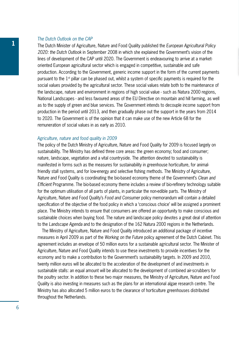### *The Dutch Outlook on the CAP*

The Dutch Minister of Agriculture, Nature and Food Quality published the *European Agricultural Policy 2020: the Dutch Outlook* in September 2008 in which she explained the Government's vision of the lines of development of the CAP until 2020. The Government is endeavouring to arrive at a marketoriented European agricultural sector which is engaged in competitive, sustainable and safe production. According to the Government, generic income support in the form of the current payments pursuant to the  $1<sup>st</sup>$  pillar can be phased out, whilst a system of specific payments is required for the social values provided by the agricultural sector. These social values relate both to the maintenance of the landscape, nature and environment in regions of high social value - such as Natura 2000 regions, National Landscapes - and less favoured areas of the EU Directive on mountain and hill farming, as well as to the supply of green and blue services. The Government intends to decouple income support from production in the period until 2013, and then gradually phase out the support in the years from 2014 to 2020. The Government is of the opinion that it can make use of the new Article 68 for the remuneration of social values in as early as 2010.

#### *Agriculture, nature and food quality in 2009*

The policy of the Dutch Ministry of Agriculture, Nature and Food Quality for 2009 is focused largely on sustainability. The Ministry has defined three core areas: the green economy; food and consumer; nature, landscape, vegetation and a vital countryside. The attention devoted to sustainability is manifested in forms such as the measures for sustainability in greenhouse horticulture, for animalfriendly stall systems, and for low-energy and selective fishing methods. The Ministry of Agriculture, Nature and Food Quality is coordinating the bio-based economy theme of the Government's *Clean and Efficient* Programme. The bio-based economy theme includes a review of bio-refinery technology suitable for the optimum utilisation of all parts of plants, in particular the non-edible parts. The Ministry of Agriculture, Nature and Food Quality's *Food and Consumer* policy memorandum will contain a detailed specification of the objective of the food policy in which a 'conscious choice' will be assigned a prominent place. The Ministry intends to ensure that consumers are offered an opportunity to make conscious and sustainable choices when buying food. The nature and landscape policy devotes a great deal of attention to the *Landscape Agenda* and to the designation of the 162 Natura 2000 regions in the Netherlands.

The Ministry of Agriculture, Nature and Food Quality introduced an additional package of incentive measures in April 2009 as part of the *Working on the Future* policy agreement of the Dutch Cabinet. This agreement includes an envelope of 50 million euros for a sustainable agricultural sector. The Minister of Agriculture, Nature and Food Quality intends to use these investments to provide incentives for the economy and to make a contribution to the Government's sustainability targets. In 2009 and 2010, twenty million euros will be allocated to the acceleration of the development of and investments in sustainable stalls: an equal amount will be allocated to the development of combined air-scrubbers for the poultry sector. In addition to these two major measures, the Ministry of Agriculture, Nature and Food Quality is also investing in measures such as the plans for an international algae research centre. The Ministry has also allocated 5 million euros to the clearance of horticulture greenhouses distributed throughout the Netherlands.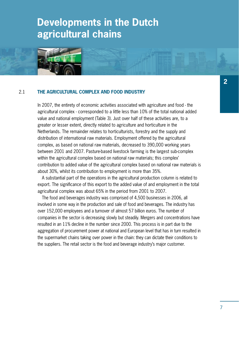# **Developments in the Dutch agricultural chains**



# 2.1 **The agricultural complex and food industry**

In 2007, the entirety of economic activities associated with agriculture and food - the agricultural complex - corresponded to a little less than 10% of the total national added value and national employment (Table 3). Just over half of these activities are, to a greater or lesser extent, directly related to agriculture and horticulture in the Netherlands. The remainder relates to horticulturists, forestry and the supply and distribution of international raw materials. Employment offered by the agricultural complex, as based on national raw materials, decreased to 390,000 working years between 2001 and 2007. Pasture-based livestock farming is the largest sub-complex within the agricultural complex based on national raw materials; this complex' contribution to added value of the agricultural complex based on national raw materials is about 30%, whilst its contribution to employment is more than 35%.

A substantial part of the operations in the agricultural production column is related to export. The significance of this export to the added value of and employment in the total agricultural complex was about 65% in the period from 2001 to 2007.

The food and beverages industry was comprised of 4,500 businesses in 2006, all involved in some way in the production and sale of food and beverages. The industry has over 152,000 employees and a turnover of almost 57 billion euros. The number of companies in the sector is decreasing slowly but steadily. Mergers and concentrations have resulted in an 11% decline in the number since 2000. This process is in part due to the aggregation of procurement power at national and European level that has in turn resulted in the supermarket chains taking over power in the chain: they can dictate their conditions to the suppliers. The retail sector is the food and beverage industry's major customer.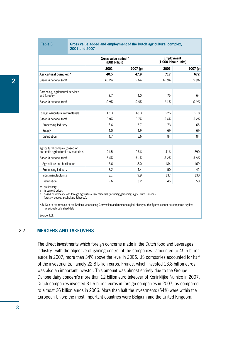| Table 3                                                                | Gross value added and employment of the Dutch agricultural complex,<br>2001 and 2007 |                                                 |          |                                           |          |  |  |  |
|------------------------------------------------------------------------|--------------------------------------------------------------------------------------|-------------------------------------------------|----------|-------------------------------------------|----------|--|--|--|
|                                                                        |                                                                                      | Gross value added <sup>a</sup><br>(EUR billion) |          | <b>Employment</b><br>(1,000 labour units) |          |  |  |  |
|                                                                        |                                                                                      | 2001                                            | 2007 (p) | 2001                                      | 2007 (p) |  |  |  |
| Agricultural complex <sup>b</sup>                                      |                                                                                      | 40.5                                            | 47.9     | 717                                       | 672      |  |  |  |
| Share in national total                                                |                                                                                      | 10.2%                                           | 9.6%     | 10.8%                                     | 9.9%     |  |  |  |
|                                                                        |                                                                                      |                                                 |          |                                           |          |  |  |  |
| Gardening, agricultural services<br>and forestry                       |                                                                                      | 3.7                                             | 4.0      | 75                                        | 64       |  |  |  |
| Share in national total                                                |                                                                                      | 0.9%                                            | 0.8%     | 1.1%                                      | 0.9%     |  |  |  |
|                                                                        |                                                                                      |                                                 |          |                                           |          |  |  |  |
| Foreign agricultural raw materials                                     |                                                                                      | 15.3                                            | 18.3     | 226                                       | 218      |  |  |  |
| Share in national total                                                |                                                                                      | 3.8%                                            | 3.7%     | 3.4%                                      | 3.2%     |  |  |  |
| Processing industry                                                    |                                                                                      | 6.6                                             | 7.7      | 73                                        | 65       |  |  |  |
| Supply                                                                 |                                                                                      | 4.0                                             | 4.9      | 69                                        | 69       |  |  |  |
| <b>Distribution</b>                                                    |                                                                                      | 4.7                                             | 5.6      | 84                                        | 84       |  |  |  |
|                                                                        |                                                                                      |                                                 |          |                                           |          |  |  |  |
| Agricultural complex (based on<br>domestic agricultural raw materials) |                                                                                      | 21.5                                            | 25.6     | 416                                       | 390      |  |  |  |
| Share in national total                                                |                                                                                      | 5.4%                                            | 5.1%     | 6.2%                                      | 5.8%     |  |  |  |
| Agriculture and horticulture                                           |                                                                                      | 7.6                                             | 8.0      | 184                                       | 169      |  |  |  |
| Processing industry                                                    |                                                                                      | 3.2                                             | 4.4      | 50                                        | 42       |  |  |  |
| Input manufacturing                                                    |                                                                                      | 8.1                                             | 9.9      | 137                                       | 130      |  |  |  |
| <b>Distribution</b>                                                    |                                                                                      | 2.6                                             | 3.2      | 45                                        | 50       |  |  |  |
| n: nreliminary                                                         |                                                                                      |                                                 |          |                                           |          |  |  |  |

p: preliminary. a In current prices;

b based on domestic and foreign agricultural raw materials (including gardening, agricultural services, forestry, cocoa, alcohol and tobacco).

N.B. Due to the revision of the National Accounting Convention and methodological changes, the figures cannot be compared against previously published data.

Source: LEI.

# 2.2 **Mergers and takeovers**

The direct investments which foreign concerns made in the Dutch food and beverages industry - with the objective of gaining control of the companies - amounted to 45.5 billion euros in 2007, more than 34% above the level in 2006. US companies accounted for half of the investments, namely 22.8 billion euros. France, which invested 13.8 billion euros, was also an important investor. This amount was almost entirely due to the Groupe Danone dairy concern's more than 12 billion euro takeover of Koninklijke Numico in 2007. Dutch companies invested 31.6 billion euros in foreign companies in 2007, as compared to almost 26 billion euros in 2006. More than half the investments (54%) were within the European Union: the most important countries were Belgium and the United Kingdom.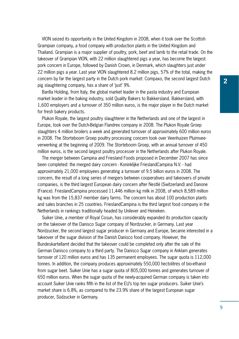VION seized its opportunity in the United Kingdom in 2008, when it took over the Scottish Grampian company, a food company with production plants in the United Kingdom and Thailand. Grampian is a major supplier of poultry, pork, beef and lamb to the retail trade. On the takeover of Grampian VION, with 22 million slaughtered pigs a year, has become the largest pork concern in Europe, followed by Danish Crown, in Denmark, which slaughters just under 22 million pigs a year. Last year VION slaughtered 8.2 million pigs, 57% of the total, making the concern by far the largest party in the Dutch pork market: Compaxo, the second largest Dutch pig slaughtering company, has a share of 'just' 9%.

Barilla Holding, from Italy, the global market leader in the pasta industry and European market leader in the baking industry, sold Quality Bakers to Bakkersland. Bakkersland, with 1,600 employers and a turnover of 350 million euros, is the major player in the Dutch market for fresh bakery products.

Plukon Royale, the largest poultry slaughterer in the Netherlands and one of the largest in Europe, took over the Dutch-Belgian Flandrex company in 2008. The Plukon Royale Groep slaughters 4 million broilers a week and generated turnover of approximately 600 million euros in 2008. The Storteboom Groep poultry processing concern took over Veenhuizen Pluimveeverwerking at the beginning of 2009. The Storteboom Groep, with an annual turnover of 450 million euros, is the second largest poultry processer in the Netherlands after Plukon Royale.

The merger between Campina and Friesland Foods proposed in December 2007 has since been completed: the merged dairy concern - Koninklijke FrieslandCampina N.V. - had approximately 21,000 employees generating a turnover of 9.5 billion euros in 2008. The concern, the result of a long series of mergers between cooperatives and takeovers of private companies, is the third largest European dairy concern after Nestlé (Switzerland) and Danone (France). FrieslandCampina processed 11,446 million kg milk in 2008, of which 8,589 million kg was from the 15,837 member dairy farms. The concern has about 100 production plants and sales branches in 25 countries. FrieslandCampina is the third largest food company in the Netherlands in rankings traditionally headed by Unilever and Heineken.

Suiker Unie, a member of Royal Cosun, has considerably expanded its production capacity on the takeover of the Danisco Sugar company of Nordzucker, in Germany. Last year Nordzucker, the second largest sugar producer in Germany and Europe, became interested in a takeover of the sugar division of the Danish Danisco food company. However, the Bundeskartellamt decided that the takeover could be completed only after the sale of the German Danisco company to a third party. The Danisco Sugar company in Anklam generates turnover of 120 million euros and has 135 permanent employees. The sugar quota is 112,000 tonnes. In addition, the company produces approximately 550,000 hectolitres of bio-ethanol from sugar beet. Suiker Unie has a sugar quota of 805,000 tonnes and generates turnover of 650 million euros. When the sugar quota of the newly-acquired German company is taken into account Suiker Unie ranks fifth in the list of the EU's top ten sugar producers. Suiker Unie's market share is 6.8%, as compared to the 23.9% share of the largest European sugar producer, Südzucker in Germany.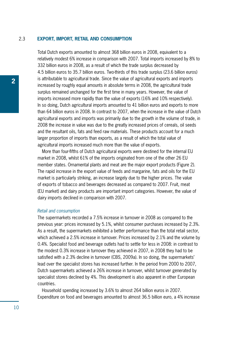# 2.3 **Export, import, retail and consumption**

Total Dutch exports amounted to almost 368 billion euros in 2008, equivalent to a relatively modest 6% increase in comparison with 2007. Total imports increased by 8% to 332 billion euros in 2008, as a result of which the trade surplus decreased by 4.5 billion euros to 35.7 billion euros. Two-thirds of this trade surplus (23.6 billion euros) is attributable to agricultural trade. Since the value of agricultural exports and imports increased by roughly equal amounts in absolute terms in 2008, the agricultural trade surplus remained unchanged for the first time in many years. However, the value of imports increased more rapidly than the value of exports (16% and 10% respectively). In so doing, Dutch agricultural imports amounted to 41 billion euros and exports to more than 64 billion euros in 2008. In contrast to 2007, when the increase in the value of Dutch agricultural exports and imports was primarily due to the growth in the volume of trade, in 2008 the increase in value was due to the greatly increased prices of cereals, oil seeds and the resultant oils, fats and feed raw materials. These products account for a much larger proportion of imports than exports, as a result of which the total value of agricultural imports increased much more than the value of exports.

More than four-fifths of Dutch agricultural exports were destined for the internal EU market in 2008, whilst 61% of the imports originated from one of the other 26 EU member states. Ornamental plants and meat are the major export products (Figure 2). The rapid increase in the export value of feeds and margarine, fats and oils for the EU market is particularly striking, an increase largely due to the higher prices. The value of exports of tobacco and beverages decreased as compared to 2007. Fruit, meat (EU market) and dairy products are important import categories. However, the value of dairy imports declined in comparison with 2007.

#### *Retail and consumption*

The supermarkets recorded a 7.5% increase in turnover in 2008 as compared to the previous year: prices increased by 5.1%, whilst consumer purchases increased by 2.3%. As a result, the supermarkets exhibited a better performance than the total retail sector, which achieved a 2.5% increase in turnover. Prices increased by 2.1% and the volume by 0.4%. Specialist food and beverage outlets had to settle for less in 2008: in contrast to the modest 0.3% increase in turnover they achieved in 2007, in 2008 they had to be satisfied with a 2.3% decline in turnover (CBS, 2009a). In so doing, the supermarkets' lead over the specialist stores has increased further. In the period from 2000 to 2007, Dutch supermarkets achieved a 26% increase in turnover, whilst turnover generated by specialist stores declined by 4%. This development is also apparent in other European countries.

Household spending increased by 3.6% to almost 264 billion euros in 2007. Expenditure on food and beverages amounted to almost 36.5 billion euro, a 4% increase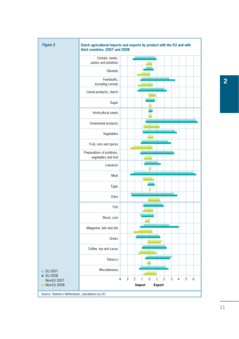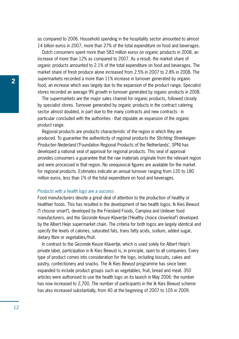as compared to 2006. Household spending in the hospitality sector amounted to almost 14 billion euros in 2007, more than 27% of the total expenditure on food and beverages.

Dutch consumers spent more than 583 million euros on organic products in 2008, an increase of more than 12% as compared to 2007. As a result, the market share of organic products amounted to 2.1% of the total expenditure on food and beverages. The market share of fresh produce alone increased from 2.5% in 2007 to 2.8% in 2008. The supermarkets recorded a more than 11% increase in turnover generated by organic food, an increase which was largely due to the expansion of the product range. Specialist stores recorded an average 9% growth in turnover generated by organic products in 2008.

The supermarkets are the major sales channel for organic products, followed closely by specialist stores. Turnover generated by organic products in the contract catering sector almost doubled, in part due to the many contracts and new contracts - in particular concluded with the authorities - that stipulate an expansion of the organic product range.

Regional products are products characteristic of the region in which they are produced. To guarantee the authenticity of regional products the *Stichting Streekeigen Producten Nederland* ('Foundation Regional Products of the Netherlands', SPN) has developed a national seal of approval for regional products. This seal of approval provides consumers a guarantee that the raw materials originate from the relevant region and were processed in that region. No unequivocal figures are available for the market for regional products. Estimates indicate an annual turnover ranging from 120 to 180 million euros, less than 1% of the total expenditure on food and beverages.

#### *Products with a health logo are a success*

Food manufacturers devote a great deal of attention to the production of healthy or healthier foods. This has resulted in the development of two health logos: Ik Kies Bewust ('I choose smart'), developed by the Friesland Foods, Campina and Unilever food manufacturers, and the *Gezonde Keuze Klavertje* ('Healthy choice cloverleaf') developed by the Albert Heijn supermarket chain. The criteria for both logos are largely identical and specify the levels of calories, saturated fats, trans fatty acids, sodium, added sugar, dietary fibre or vegetables/fruit.

In contrast to the *Gezonde Keuze Klavertje*, which is used solely for Albert Heijn's private label, participation in Ik Kies Bewust is, in principle, open to all companies. Every type of product comes into consideration for the logo, including biscuits, cakes and pastry, confectionery and snacks. The *Ik Kies Bewust* programme has since been expanded to include product groups such as vegetables, fruit, bread and meat. 350 articles were authorised to use the health logo on its launch in May 2006: the number has now increased to 2,700. The number of participants in the *Ik Kies Bewust* scheme has also increased substantially, from 40 at the beginning of 2007 to 105 in 2009.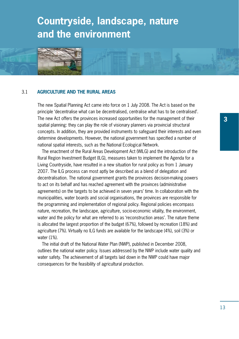# **Countryside, landscape, nature and the environment**



The new Spatial Planning Act came into force on 1 July 2008. The Act is based on the principle 'decentralise what can be decentralised, centralise what has to be centralised'. The new Act offers the provinces increased opportunities for the management of their spatial planning: they can play the role of visionary planners via provincial structural concepts. In addition, they are provided instruments to safeguard their interests and even determine developments. However, the national government has specified a number of national spatial interests, such as the National Ecological Network.

The enactment of the Rural Areas Development Act (WILG) and the introduction of the Rural Region Investment Budget (ILG), measures taken to implement the Agenda for a Living Countryside, have resulted in a new situation for rural policy as from 1 January 2007. The ILG process can most aptly be described as a blend of delegation and decentralisation. The national government grants the provinces decision-making powers to act on its behalf and has reached agreement with the provinces (administrative agreements) on the targets to be achieved in seven years' time. In collaboration with the municipalities, water boards and social organisations, the provinces are responsible for the programming and implementation of regional policy. Regional policies encompass nature, recreation, the landscape, agriculture, socio-economic vitality, the environment, water and the policy for what are referred to as 'reconstruction areas'. The nature theme is allocated the largest proportion of the budget (67%), followed by recreation (18%) and agriculture (7%). Virtually no ILG funds are available for the landscape (4%), soil (3%) or water (1%).

The initial draft of the National Water Plan (NWP), published in December 2008, outlines the national water policy. Issues addressed by the NWP include water quality and water safety. The achievement of all targets laid down in the NWP could have major consequences for the feasibility of agricultural production.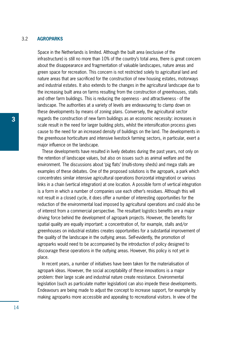# 3.2 **Agroparks**

Space in the Netherlands is limited. Although the built area (exclusive of the infrastructure) is still no more than 10% of the country's total area, there is great concern about the disappearance and fragmentation of valuable landscapes, nature areas and green space for recreation. This concern is not restricted solely to agricultural land and nature areas that are sacrificed for the construction of new housing estates, motorways and industrial estates. It also extends to the changes in the agricultural landscape due to the increasing built area on farms resulting from the construction of greenhouses, stalls and other farm buildings. This is reducing the openness - and attractiveness - of the landscape. The authorities at a variety of levels are endeavouring to clamp down on these developments by means of zoning plans. Conversely, the agricultural sector regards the construction of new farm buildings as an economic necessity: increases in scale result in the need for larger building plots, whilst the intensification process gives cause to the need for an increased density of buildings on the land. The developments in the greenhouse horticulture and intensive livestock farming sectors, in particular, exert a major influence on the landscape.

These developments have resulted in lively debates during the past years, not only on the retention of landscape values, but also on issues such as animal welfare and the environment. The discussions about 'pig flats' (multi-storey sheds) and mega stalls are examples of these debates. One of the proposed solutions is the agropark, a park which concentrates similar intensive agricultural operations (horizontal integration) or various links in a chain (vertical integration) at one location. A possible form of vertical integration is a form in which a number of companies use each other's residues. Although this will not result in a closed cycle, it does offer a number of interesting opportunities for the reduction of the environmental load imposed by agricultural operations and could also be of interest from a commercial perspective. The resultant logistics benefits are a major driving force behind the development of agropark projects. However, the benefits for spatial quality are equally important: a concentration of, for example, stalls and/or greenhouses on industrial estates creates opportunities for a substantial improvement of the quality of the landscape in the outlying areas. Self-evidently, the promotion of agroparks would need to be accompanied by the introduction of policy designed to discourage these operations in the outlying areas. However, this policy is not yet in place.

In recent years, a number of initiatives have been taken for the materialisation of agropark ideas. However, the social acceptability of these innovations is a major problem: their large scale and industrial nature create resistance. Environmental legislation (such as particulate matter legislation) can also impede these developments. Endeavours are being made to adjust the concept to increase support, for example by making agroparks more accessible and appealing to recreational visitors. In view of the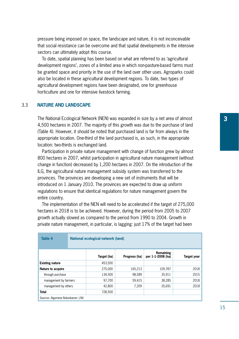pressure being imposed on space, the landscape and nature, it is not inconceivable that social resistance can be overcome and that spatial developments in the intensive sectors can ultimately adopt this course.

To date, spatial planning has been based on what are referred to as 'agricultural development regions', zones of a limited area in which non-pasture-based farms must be granted space and priority in the use of the land over other uses. Agroparks could also be located in these agricultural development regions. To date, two types of agricultural development regions have been designated, one for greenhouse horticulture and one for intensive livestock farming.

# 3.3 **Nature and landscape**

The National Ecological Network (NEN) was expanded in size by a net area of almost 4,500 hectares in 2007. The majority of this growth was due to the purchase of land (Table 4). However, it should be noted that purchased land is far from always in the appropriate location. One-third of the land purchased is, as such, in the appropriate location: two-thirds is exchanged land.

Participation in private nature management with change of function grew by almost 800 hectares in 2007, whilst participation in agricultural nature management (without change in function) decreased by 1,200 hectares in 2007. On the introduction of the ILG, the agricultural nature management subsidy system was transferred to the provinces. The provinces are developing a new set of instruments that will be introduced on 1 January 2010. The provinces are expected to draw up uniform regulations to ensure that identical regulations for nature management govern the entire country.

The implementation of the NEN will need to be accelerated if the target of 275,000 hectares in 2018 is to be achieved. However, during the period from 2005 to 2007 growth actually slowed as compared to the period from 1990 to 2004. Growth in private nature management, in particular, is lagging: just 17% of the target had been

| <b>Table 4</b>                     | National ecological network (land) |             |               |                                       |                    |  |  |  |  |
|------------------------------------|------------------------------------|-------------|---------------|---------------------------------------|--------------------|--|--|--|--|
|                                    |                                    | Target (ha) | Progress (ha) | <b>Remaining</b><br>per 1-1-2008 (ha) | <b>Target year</b> |  |  |  |  |
| <b>Existing nature</b>             |                                    | 453.500     |               |                                       |                    |  |  |  |  |
| <b>Nature to acquire</b>           |                                    | 275,000     | 165.213       | 109,787                               | 2018               |  |  |  |  |
| through purchase                   |                                    | 134,500     | 98,589        | 35,911                                | 2015               |  |  |  |  |
| management by farmers              |                                    | 97.700      | 59.415        | 38.285                                | 2018               |  |  |  |  |
| management by others               |                                    | 42,800      | 7.209         | 35,691                                | 2018               |  |  |  |  |
| <b>Total</b>                       |                                    | 728.500     |               |                                       |                    |  |  |  |  |
| Sources: Algemene Rekenkamer: LNV. |                                    |             |               |                                       |                    |  |  |  |  |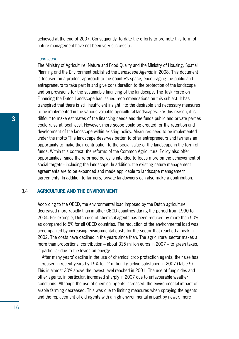achieved at the end of 2007. Consequently, to date the efforts to promote this form of nature management have not been very successful.

### *Landscape*

The Ministry of Agriculture, Nature and Food Quality and the Ministry of Housing, Spatial Planning and the Environment published the *Landscape Agenda* in 2008. This document is focused on a prudent approach to the country's space, encouraging the public and entrepreneurs to take part in and give consideration to the protection of the landscape and on provisions for the sustainable financing of the landscape. The Task Force on Financing the Dutch Landscape has issued recommendations on this subject. It has transpired that there is still insufficient insight into the desirable and necessary measures to be implemented in the various valuable agricultural landscapes. For this reason, it is difficult to make estimates of the financing needs and the funds public and private parties could raise at local level. However, more scope could be created for the retention and development of the landscape within existing policy. Measures need to be implemented under the motto 'The landscape deserves better' to offer entrepreneurs and farmers an opportunity to make their contribution to the social value of the landscape in the form of funds. Within this context, the reforms of the Common Agricultural Policy also offer opportunities, since the reformed policy is intended to focus more on the achievement of social targets - including the landscape. In addition, the existing nature management agreements are to be expanded and made applicable to landscape management agreements. In addition to farmers, private landowners can also make a contribution.

### 3.4 **Agriculture and the environment**

According to the OECD, the environmental load imposed by the Dutch agriculture decreased more rapidly than in other OECD countries during the period from 1990 to 2004. For example, Dutch use of chemical agents has been reduced by more than 50% as compared to 5% for all OECD countries. The reduction of the environmental load was accompanied by increasing environmental costs for the sector that reached a peak in 2002. The costs have declined in the years since then. The agricultural sector makes a more than proportional contribution – about 315 million euros in 2007 – to green taxes, in particular due to the levies on energy.

After many years' decline in the use of chemical crop protection agents, their use has increased in recent years by 15% to 12 million kg active substance in 2007 (Table 5). This is almost 30% above the lowest level reached in 2001. The use of fungicides and other agents, in particular, increased sharply in 2007 due to unfavourable weather conditions. Although the use of chemical agents increased, the environmental impact of arable farming decreased. This was due to limiting measures when spraying the agents and the replacement of old agents with a high environmental impact by newer, more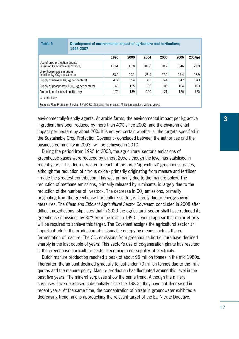| Table 5                                                                                                                   | Development of environmental impact of agriculture and horticulture.<br>1995-2007 |       |       |       |      |       |         |  |
|---------------------------------------------------------------------------------------------------------------------------|-----------------------------------------------------------------------------------|-------|-------|-------|------|-------|---------|--|
|                                                                                                                           |                                                                                   | 1995  | 2000  | 2004  | 2005 | 2006  | 2007(p) |  |
| Use of crop protection agents<br>(in million kg of active substance)                                                      |                                                                                   | 12.61 | 11.38 | 10.66 | 10.7 | 10.46 | 12.09   |  |
| Greenhouse gas emissions<br>(in billion kg CO <sub>2</sub> equivalents)                                                   |                                                                                   | 33.2  | 29.1  | 26.9  | 27.0 | 27.4  | 26.9    |  |
| Supply of nitrogen (N, kg per hectare)                                                                                    |                                                                                   | 472   | 394   | 351   | 344  | 347   | 343     |  |
| Supply of phosphates $(P_2O_6, kg)$ per hectare)                                                                          |                                                                                   | 140   | 125   | 102   | 108  | 104   | 103     |  |
| Ammonia emissions (in million kg)                                                                                         |                                                                                   | 179   | 139   | 120   | 121  | 120   | 120     |  |
| p: preliminary.<br>Sources: Plant Protection Service; RIVM/CBS (Statistics Netherlands), Milieucompendium, various years. |                                                                                   |       |       |       |      |       |         |  |

environmentally-friendly agents. At arable farms, the environmental impact per kg active **3** ingredient has been reduced by more than 40% since 2002, and the environmental impact per hectare by about 20%. It is not yet certain whether all the targets specified in the Sustainable Crop Protection Covenant - concluded between the authorities and the business community in 2003 - will be achieved in 2010.

During the period from 1995 to 2003, the agricultural sector's emissions of greenhouse gases were reduced by almost 20%, although the level has stabilised in recent years. This decline related to each of the three 'agricultural' greenhouse gases, although the reduction of nitrous oxide - primarily originating from manure and fertiliser - made the greatest contribution. This was primarily due to the manure policy. The reduction of methane emissions, primarily released by ruminants, is largely due to the reduction of the number of livestock. The decrease in  $CO<sub>2</sub>$  emissions, primarily originating from the greenhouse horticulture sector, is largely due to energy-saving measures. The *Clean and Efficient Agricultural Sector Covenant*, concluded in 2008 after difficult negotiations, stipulates that in 2020 the agricultural sector shall have reduced its greenhouse emissions by 30% from the level in 1990. It would appear that major efforts will be required to achieve this target. The Covenant assigns the agricultural sector an important role in the production of sustainable energy by means such as the cofermentation of manure. The  $CO<sub>2</sub>$  emissions from greenhouse horticulture have declined sharply in the last couple of years. This sector's use of co-generation plants has resulted in the greenhouse horticulture sector becoming a net supplier of electricity.

Dutch manure production reached a peak of about 95 million tonnes in the mid 1980s. Thereafter, the amount declined gradually to just under 70 million tonnes due to the milk quotas and the manure policy. Manure production has fluctuated around this level in the past five years. The mineral surpluses show the same trend. Although the mineral surpluses have decreased substantially since the 1980s, they have not decreased in recent years. At the same time, the concentration of nitrate in groundwater exhibited a decreasing trend, and is approaching the relevant target of the EU Nitrate Directive.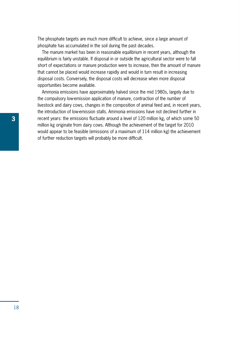The phosphate targets are much more difficult to achieve, since a large amount of phosphate has accumulated in the soil during the past decades.

The manure market has been in reasonable equilibrium in recent years, although the equilibrium is fairly unstable. If disposal in or outside the agricultural sector were to fall short of expectations or manure production were to increase, then the amount of manure that cannot be placed would increase rapidly and would in turn result in increasing disposal costs. Conversely, the disposal costs will decrease when more disposal opportunities become available.

Ammonia emissions have approximately halved since the mid 1980s, largely due to the compulsory low-emission application of manure, contraction of the number of livestock and dairy cows, changes in the composition of animal feed and, in recent years, the introduction of low-emission stalls. Ammonia emissions have not declined further in recent years: the emissions fluctuate around a level of 120 million kg, of which some 50 million kg originate from dairy cows. Although the achievement of the target for 2010 would appear to be feasible (emissions of a maximum of 114 million kg) the achievement of further reduction targets will probably be more difficult.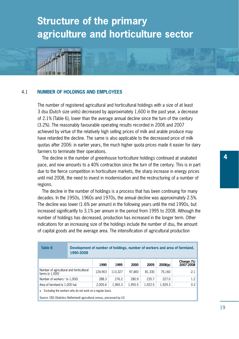# **Structure of the primary agriculture and horticulture sector**



The number of registered agricultural and horticultural holdings with a size of at least 3 dsu (Dutch size units) decreased by approximately 1,600 in the past year, a decrease of 2.1% (Table 6), lower than the average annual decline since the turn of the century (3.2%). The reasonably favourable operating results recorded in 2006 and 2007 achieved by virtue of the relatively high selling prices of milk and arable produce may have retarded the decline. The same is also applicable to the decreased price of milk quotas after 2006: in earlier years, the much higher quota prices made it easier for dairy farmers to terminate their operations.

The decline in the number of greenhouse horticulture holdings continued at unabated pace, and now amounts to a 40% contraction since the turn of the century. This is in part due to the fierce competition in horticulture markets, the sharp increase in energy prices until mid 2008, the need to invest in modernisation and the restructuring of a number of regions.

The decline in the number of holdings is a process that has been continuing for many decades. In the 1950s, 1960s and 1970s, the annual decline was approximately 2.5%. The decline was lower (1.6% per annum) in the following years until the mid 1990s, but increased significantly to 3.1% per annum in the period from 1995 to 2008. Although the number of holdings has decreased, production has increased in the longer term. Other indications for an increasing size of the holdings include the number of dsu, the amount of capital goods and the average area. The intensification of agricultural production

| Table 6                                                        | Development of number of holdings, number of workers and area of farmland,<br>1990-2008 |         |         |         |         |         |                         |  |
|----------------------------------------------------------------|-----------------------------------------------------------------------------------------|---------|---------|---------|---------|---------|-------------------------|--|
|                                                                |                                                                                         | 1990    | 1995    | 2000    | 2005    | 2008(p) | Change (%)<br>2007-2008 |  |
| Number of agricultural and horticultural<br>farms $(x 1,000)$  |                                                                                         | 124.903 | 113.327 | 97.483  | 81.330  | 75.160  | $-2.1$                  |  |
| Number of workers $\frac{1}{2}$ (x 1.000)                      |                                                                                         | 288.3   | 276.2   | 280.9   | 235.7   | 227.0   | 1.2                     |  |
| Area of farmland (x 1,000 ha)                                  |                                                                                         | 2.005.6 | 1.965.3 | 1.955.5 | 1.922.5 | 1.929.3 | 0.3                     |  |
| Excluding the workers who do not work on a regular basis.<br>a |                                                                                         |         |         |         |         |         |                         |  |

Source: CBS (Statistics Netherland) agricultural census, processed by LEI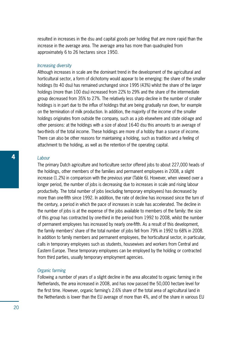resulted in increases in the dsu and capital goods per holding that are more rapid than the increase in the average area. The average area has more than quadrupled from approximately 6 to 26 hectares since 1950.

#### *Increasing diversity*

Although increases in scale are the dominant trend in the development of the agricultural and horticultural sector, a form of dichotomy would appear to be emerging: the share of the smaller holdings (to 40 dsu) has remained unchanged since 1995 (43%) whilst the share of the larger holdings (more than 100 dsu) increased from 22% to 29% and the share of the intermediate group decreased from 35% to 27%. The relatively less sharp decline in the number of smaller holdings is in part due to the influx of holdings that are being gradually run down, for example on the termination of milk production. In addition, the majority of the income of the smaller holdings originates from outside the company, such as a job elsewhere and state old-age and other pensions: at the holdings with a size of about 16-40 dsu this amounts to an average of two-thirds of the total income. These holdings are more of a hobby than a source of income. There can also be other reasons for maintaining a holding, such as tradition and a feeling of attachment to the holding, as well as the retention of the operating capital.

### *Labour*

The primary Dutch agriculture and horticulture sector offered jobs to about 227,000 heads of the holdings, other members of the families and permanent employees in 2008, a slight increase (1.2%) in comparison with the previous year (Table 6). However, when viewed over a longer period, the number of jobs is decreasing due to increases in scale and rising labour productivity. The total number of jobs (excluding temporary employees) has decreased by more than one-fifth since 1992. In addition, the rate of decline has increased since the turn of the century, a period in which the pace of increases in scale has accelerated. The decline in the number of jobs is at the expense of the jobs available to members of the family: the size of this group has contracted by one-third in the period from 1992 to 2008, whilst the number of permanent employees has increased by nearly one-fifth. As a result of this development, the family members' share of the total number of jobs fell from 79% in 1992 to 68% in 2008. In addition to family members and permanent employees, the horticultural sector, in particular, calls in temporary employees such as students, housewives and workers from Central and Eastern Europe. These temporary employees can be employed by the holding or contracted from third parties, usually temporary employment agencies.

### *Organic farming*

Following a number of years of a slight decline in the area allocated to organic farming in the Netherlands, the area increased in 2008, and has now passed the 50,000 hectare level for the first time. However, organic farming's 2.6% share of the total area of agricultural land in the Netherlands is lower than the EU average of more than 4%, and of the share in various EU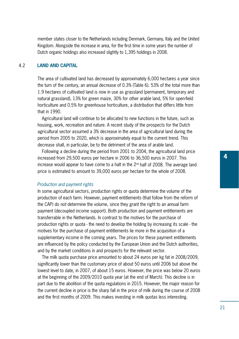member states closer to the Netherlands including Denmark, Germany, Italy and the United Kingdom. Alongside the increase in area, for the first time in some years the number of Dutch organic holdings also increased slightly to 1,395 holdings in 2008.

### 4.2 **Land and capital**

The area of cultivated land has decreased by approximately 6,000 hectares a year since the turn of the century, an annual decrease of 0.3% (Table 6). 53% of the total more than 1.9 hectares of cultivated land is now in use as grassland (permanent, temporary and natural grassland), 13% for green maize, 30% for other arable land, 5% for open-field horticulture and 0.5% for greenhouse horticulture, a distribution that differs little from that in 1990.

Agricultural land will continue to be allocated to new functions in the future, such as housing, work, recreation and nature. A recent study of the prospects for the Dutch agricultural sector assumed a 3% decrease in the area of agricultural land during the period from 2005 to 2020, which is approximately equal to the current trend. This decrease shall, in particular, be to the detriment of the area of arable land.

Following a decline during the period from 2001 to 2004, the agricultural land price increased from 29,500 euros per hectare in 2006 to 36,500 euros in 2007. This increase would appear to have come to a halt in the 2nd half of 2008. The average land price is estimated to amount to 39,000 euros per hectare for the whole of 2008.

### *Production and payment rights*

In some agricultural sectors, production rights or quota determine the volume of the production of each farm. However, payment entitlements (that follow from the reform of the CAP) do *not* determine the volume, since they grant the right to an annual farm payment (decoupled income support). Both production and payment entitlements are transferrable in the Netherlands. In contrast to the motives for the purchase of production rights or quota - the need to develop the holding by increasing its scale - the motives for the purchase of payment entitlements lie more in the acquisition of a supplementary income in the coming years. The prices for these payment entitlements are influenced by the policy conducted by the European Union and the Dutch authorities, and by the market conditions in and prospects for the relevant sector.

The milk quota purchase price amounted to about 24 euros per kg fat in 2008/2009, significantly lower than the customary price of about 50 euros until 2006 but above the lowest level to date, in 2007, of about 15 euros. However, the price was below 20 euros at the beginning of the 2009/2010 quota year (at the end of March). This decline is in part due to the abolition of the quota regulations in 2015. However, the major reason for the current decline in price is the sharp fall in the price of milk during the course of 2008 and the first months of 2009. This makes investing in milk quotas less interesting.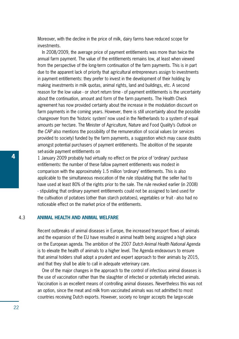Moreover, with the decline in the price of milk, dairy farms have reduced scope for investments.

In 2008/2009, the average price of payment entitlements was more than twice the annual farm payment. The value of the entitlements remains low, at least when viewed from the perspective of the long-term continuation of the farm payments. This is in part due to the apparent lack of priority that agricultural entrepreneurs assign to investments in payment entitlements: they prefer to invest in the development of their holding by making investments in milk quotas, animal rights, land and buildings, etc. A second reason for the low value - or short return time - of payment entitlements is the uncertainty about the continuation, amount and form of the farm payments. The Health Check agreement has now provided certainty about the increase in the modulation discount on farm payments in the coming years. However, there is still uncertainty about the possible changeover from the 'historic system' now used in the Netherlands to a system of equal amounts per hectare. The Minister of Agriculture, Nature and Food Quality's *Outlook on the CAP* also mentions the possibility of the remuneration of social values (or services provided to society) funded by the farm payments, a suggestion which may cause doubts amongst potential purchasers of payment entitlements. The abolition of the separate set-aside payment entitlements on

1 January 2009 probably had virtually no effect on the price of 'ordinary' purchase entitlements: the number of these fallow payment entitlements was modest in comparison with the approximately 1.5 million 'ordinary' entitlements. This is also applicable to the simultaneous revocation of the rule stipulating that the seller had to have used at least 80% of the rights prior to the sale. The rule revoked earlier (in 2008) - stipulating that ordinary payment entitlements could not be assigned to land used for the cultivation of potatoes (other than starch potatoes), vegetables or fruit - also had no noticeable effect on the market price of the entitlements.

# 4.3 **Animal health and animal welfare**

Recent outbreaks of animal diseases in Europe, the increased transport flows of animals and the expansion of the EU have resulted in animal health being assigned a high place on the European agenda. The ambition of the 2007 *Dutch Animal Health National Agenda* is to elevate the health of animals to a higher level. The Agenda endeavours to ensure that animal holders shall adopt a prudent and expert approach to their animals by 2015, and that they shall be able to call in adequate veterinary care.

One of the major changes in the approach to the control of infectious animal diseases is the use of vaccination rather than the slaughter of infected or potentially infected animals. Vaccination is an excellent means of controlling animal diseases. Nevertheless this was not an option, since the meat and milk from vaccinated animals was not admitted to most countries receiving Dutch exports. However, society no longer accepts the large-scale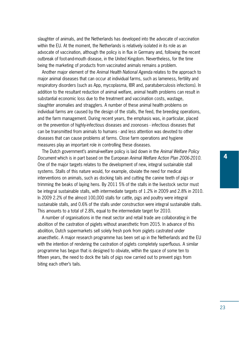slaughter of animals, and the Netherlands has developed into the advocate of vaccination within the EU. At the moment, the Netherlands is relatively isolated in its role as an advocate of vaccination, although the policy is in flux in Germany and, following the recent outbreak of foot-and-mouth disease, in the United Kingdom. Nevertheless, for the time being the marketing of products from vaccinated animals remains a problem.

Another major element of the *Animal Health National Agenda* relates to the approach to major animal diseases that can occur at individual farms, such as lameness, fertility and respiratory disorders (such as App, mycoplasma, IBR and, paratuberculosis infections). In addition to the resultant reduction of animal welfare, animal health problems can result in substantial economic loss due to the treatment and vaccination costs, wastage, slaughter anomalies and stragglers. A number of these animal health problems on individual farms are caused by the design of the stalls, the feed, the breeding operations, and the farm management. During recent years, the emphasis was, in particular, placed on the prevention of highly-infectious diseases and zoonoses - infectious diseases that can be transmitted from animals to humans - and less attention was devoted to other diseases that can cause problems at farms. Close farm operations and hygiene measures play an important role in controlling these diseases.

The Dutch government's animal-welfare policy is laid down in the *Animal Welfare Policy Document* which is in part based on the European *Animal Welfare Action Plan 2006-2010*. One of the major targets relates to the development of new, integral sustainable stall systems. Stalls of this nature would, for example, obviate the need for medical interventions on animals, such as docking tails and cutting the canine teeth of pigs or trimming the beaks of laying hens. By 2011 5% of the stalls in the livestock sector must be integral sustainable stalls, with intermediate targets of 1.2% in 2009 and 2.8% in 2010. In 2009 2.2% of the almost 100,000 stalls for cattle, pigs and poultry were integral sustainable stalls, and 0.6% of the stalls under construction were integral sustainable stalls. This amounts to a total of 2.8%, equal to the intermediate target for 2010.

A number of organisations in the meat sector and retail trade are collaborating in the abolition of the castration of piglets without anaesthetic from 2015. In advance of this abolition, Dutch supermarkets sell solely fresh pork from piglets castrated under anaesthetic. A major research programme has been set up in the Netherlands and the EU with the intention of rendering the castration of piglets completely superfluous. A similar programme has begun that is designed to obviate, within the space of some ten to fifteen years, the need to dock the tails of pigs now carried out to prevent pigs from biting each other's tails.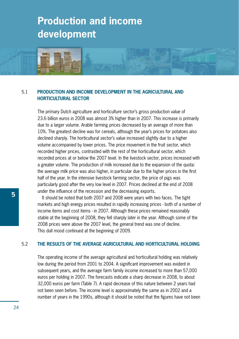# **Production and income development**



# 5.1 **Production and income development in the agricultural and horticultural sector**

The primary Dutch agriculture and horticulture sector's gross production value of 23.6 billion euros in 2008 was almost 3% higher than in 2007. This increase is primarily due to a larger volume. Arable farming prices decreased by an average of more than 10%. The greatest decline was for cereals, although the year's prices for potatoes also declined sharply. The horticultural sector's value increased slightly due to a higher volume accompanied by lower prices. The price movement in the fruit sector, which recorded higher prices, contrasted with the rest of the horticultural sector, which recorded prices at or below the 2007 level. In the livestock sector, prices increased with a greater volume. The production of milk increased due to the expansion of the quota: the average milk price was also higher, in particular due to the higher prices in the first half of the year. In the intensive livestock farming sector, the price of pigs was particularly good after the very low level in 2007. Prices declined at the end of 2008 under the influence of the recession and the decreasing exports.

It should be noted that both 2007 and 2008 were years with two faces. The tight markets and high energy prices resulted in rapidly increasing prices - both of a number of income items and cost items - in 2007. Although these prices remained reasonably stable at the beginning of 2008, they fell sharply later in the year. Although some of the 2008 prices were above the 2007 level, the general trend was one of decline. This dull mood continued at the beginning of 2009.

### 5.2 **The results of the average agricultural and horticultural holding**

The operating income of the average agricultural and horticultural holding was relatively low during the period from 2001 to 2004. A significant improvement was evident in subsequent years, and the average farm family income increased to more than 57,000 euros per holding in 2007. The forecasts indicate a sharp decrease in 2008, to about 32,000 euros per farm (Table 7). A rapid decrease of this nature between 2 years had not been seen before. The income level is approximately the same as in 2002 and a number of years in the 1990s, although it should be noted that the figures have not been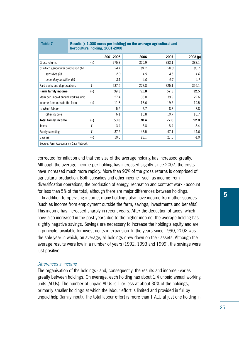| Table 7                                | Results (x 1,000 euros per holding) on the average agricultural and<br>horticultural holding, 2001-2008 |       |           |       |       |          |  |  |  |
|----------------------------------------|---------------------------------------------------------------------------------------------------------|-------|-----------|-------|-------|----------|--|--|--|
|                                        |                                                                                                         |       | 2001-2005 | 2006  | 2007  | 2008 (p) |  |  |  |
| Gross returns                          |                                                                                                         | $(+)$ | 275.8     | 325.9 | 383.1 | 388.1    |  |  |  |
| of which agricultural production (%)   |                                                                                                         |       | 94.1      | 91.2  | 90.8  | 90.7     |  |  |  |
| subsidies (%)                          |                                                                                                         |       | 2.9       | 4.9   | 4.5   | 4.6      |  |  |  |
| secondary activities (%)               |                                                                                                         |       | 3.1       | 4.0   | 4.7   | 4.7      |  |  |  |
| Paid costs and depreciations           |                                                                                                         | $(-)$ | 237.5     | 273.8 | 325.1 | 355.1    |  |  |  |
| Farm family income                     |                                                                                                         | $(=)$ | 39.3      | 51.8  | 57.5  | 32.5     |  |  |  |
| Idem per unpaid annual working unit    |                                                                                                         |       | 27.4      | 36.0  | 39.9  | 22.6     |  |  |  |
| Income from outside the farm           |                                                                                                         | $(+)$ | 11.6      | 18.6  | 19.5  | 19.5     |  |  |  |
| of which labour                        |                                                                                                         |       | 5.5       | 7.7   | 8.8   | 8.8      |  |  |  |
| other income                           |                                                                                                         |       | 6.1       | 10.8  | 10.7  | 10.7     |  |  |  |
| <b>Total family income</b>             |                                                                                                         | $(=)$ | 50.8      | 70.4  | 77.0  | 52.0     |  |  |  |
| Taxes                                  |                                                                                                         | $(-)$ | 3.4       | 3.8   | 8.4   | 8.4      |  |  |  |
| Family spending                        |                                                                                                         | $(-)$ | 37.5      | 43.5  | 47.1  | 44.6     |  |  |  |
| <b>Savings</b>                         |                                                                                                         | $(=)$ | 10.0      | 23.1  | 21.5  | $-1.0$   |  |  |  |
| Source: Farm Accountancy Data Network. |                                                                                                         |       |           |       |       |          |  |  |  |

corrected for inflation and that the size of the average holding has increased greatly. Although the average income per holding has increased slightly since 2007, the costs have increased much more rapidly. More than 90% of the gross returns is comprised of agricultural production. Both subsidies and other income - such as income from diversification operations, the production of energy, recreation and contract work - account for less than 5% of the total, although there are major differences between holdings.

In addition to operating income, many holdings also have income from other sources (such as income from employment outside the farm, savings, investments and benefits). This income has increased sharply in recent years. After the deduction of taxes, which have also increased in the past years due to the higher income, the average holding has slightly negative savings. Savings are necessary to increase the holding's equity and are, in principle, available for investments in expansion. In the years since 1990, 2002 was the sole year in which, on average, all holdings drew down on their assets. Although the average results were low in a number of years (1992, 1993 and 1999), the savings were just positive.

#### *Differences in income*

The organisation of the holdings - and, consequently, the results and income - varies greatly between holdings. On average, each holding has about 1.4 unpaid annual working units (ALUs). The number of unpaid ALUs is 1 or less at about 30% of the holdings, primarily smaller holdings at which the labour effort is limited and provided in full by unpaid help (family input). The total labour effort is more than 1 ALU at just one holding in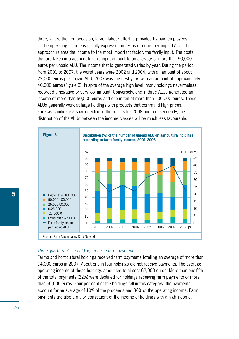three, where the - on occasion, large - labour effort is provided by paid employees.

The operating income is usually expressed in terms of euros per unpaid ALU. This approach relates the income to the most important factor, the family input. The costs that are taken into account for this input amount to an average of more than 50,000 euros per unpaid ALU. The income that is generated varies by year. During the period from 2001 to 2007, the worst years were 2002 and 2004, with an amount of about 22,000 euros per unpaid ALU; 2007 was the best year, with an amount of approximately 40,000 euros (Figure 3). In spite of the average high level, many holdings nevertheless recorded a negative or very low amount. Conversely, one in three ALUs generated an income of more than 50,000 euros and one in ten of more than 100,000 euros. These ALUs generally work at large holdings with products that command high prices. Forecasts indicate a sharp decline in the results for 2008 and, consequently, the distribution of the ALUs between the income classes will be much less favourable.



#### *Three-quarters of the holdings receive farm payments*

Farms and horticultural holdings received farm payments totalling an average of more than 14,000 euros in 2007. About one in four holdings did not receive payments. The average operating income of these holdings amounted to almost 62,000 euros. More than one-fifth of the total payments (22%) were destined for holdings receiving farm payments of more than 50,000 euros. Four per cent of the holdings fall in this category: the payments account for an average of 10% of the proceeds and 36% of the operating income. Farm payments are also a major constituent of the income of holdings with a high income.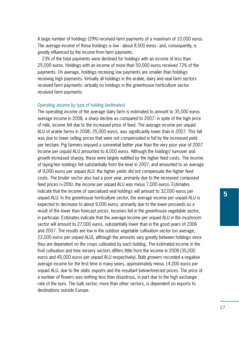A large number of holdings (29%) received farm payments of a maximum of 10,000 euros. The average income of these holdings is low - about 8,500 euros - and, consequently, is greatly influenced by the income from farm payments.

23% of the total payments were destined for holdings with an income of less than 25,000 euros. Holdings with an income of more than 50,000 euros received 72% of the payments. On average, holdings receiving low payments are smaller than holdings receiving high payments. Virtually all holdings in the arable, dairy and veal farm sectors received farm payments: virtually no holdings in the greenhouse horticulture sector received farm payments.

### *Operating income by type of holding (estimates)*

The operating income of the average dairy farm is estimated to amount to 35,000 euros average income in 2008, a sharp decline as compared to 2007: in spite of the high price of milk, income fell due to the increased price of feed. The average income per unpaid ALU of arable farms in 2008, 25,000 euros, was significantly lower than in 2007. This fall was due to lower selling prices that were not compensated in full by the increased yield per hectare. Pig farmers enjoyed a somewhat better year than the very poor year of 2007. Income per unpaid ALU amounted to 8,000 euros. Although the holdings' turnover and growth increased sharply, these were largely nullified by the higher feed costs. The income of laying-hen holdings fell substantially from the level in 2007, and amounted to an average of 9,000 euros per unpaid ALU: the higher yields did not compensate the higher feed costs. The broiler sector also had a poor year, primarily due to the increased compound feed prices (+20%): the income per unpaid ALU was minus 7,000 euros. Estimates indicate that the income of specialised veal holdings will amount to 32,000 euros per unpaid ALU. In the greenhouse horticulture sector, the average income per unpaid ALU is expected to decrease to about 9,000 euros, primarily due to the lower proceeds as a result of the lower than forecast prices. Incomes fell in the greenhouse vegetable sector, in particular. Estimates indicate that the average income per unpaid ALU in the mushroom sector will amount to 27,000 euros, substantially lower than in the good years of 2006 and 2007. The results are low in the outdoor vegetable cultivation sector (on average, 22,000 euros per unpaid ALU), although the amounts vary greatly between holdings since they are dependent on the crops cultivated by each holding. The estimated income in the fruit cultivation and tree nursery sectors differs little from the income in 2008 (35,000 euros and 45,000 euros per unpaid ALU respectively). Bulb growers recorded a negative average income for the first time in many years, approximately minus 14,000 euros per unpaid ALU, due to the static exports and the resultant below-forecast prices. The price of a number of flowers was nothing less than disastrous, in part due to the high exchange rate of the euro. The bulb sector, more than other sectors, is dependent on exports to destinations outside Europe.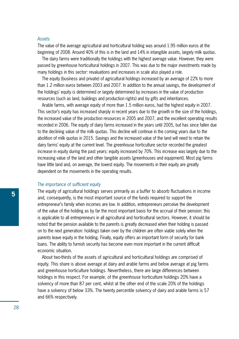#### *Assets*

The value of the average agricultural and horticultural holding was around 1.95 million euros at the beginning of 2008. Around 40% of this is in the land and 14% in intangible assets, largely milk quotas.

The dairy farms were traditionally the holdings with the highest average value. However, they were passed by greenhouse horticultural holdings in 2007. This was due to the major investments made by many holdings in this sector: revaluations and increases in scale also played a role.

The equity (business and private) of agricultural holdings increased by an average of 22% to more than 1.2 million euros between 2003 and 2007. In addition to the annual savings, the development of the holdings' equity is determined or largely determined by increases in the value of production resources (such as land, buildings and production rights) and by gifts and inheritances.

Arable farms, with average equity of more than 1.5 million euros, had the highest equity in 2007. This sector's equity has increased sharply in recent years due to the growth in the size of the holdings, the increased value of the production resources in 2005 and 2007, and the excellent operating results recorded in 2006. The equity of dairy farms increased in the years until 2005, but has since fallen due to the declining value of the milk quotas. This decline will continue in the coming years due to the abolition of milk quotas in 2015. Savings and the increased value of the land will need to retain the dairy farms' equity at the current level. The greenhouse horticulture sector recorded the greatest increase in equity during the past years: equity increased by 70%. This increase was largely due to the increasing value of the land and other tangible assets (greenhouses and equipment). Most pig farms have little land and, on average, the lowest equity. The movements in their equity are greatly dependent on the movements in the operating results.

#### *The importance of sufficient equity*

The equity of agricultural holdings serves primarily as a buffer to absorb fluctuations in income and, consequently, is the most important source of the funds required to support the entrepreneur's family when incomes are low. In addition, entrepreneurs perceive the development of the value of the holding as by far the most important basis for the accrual of their pension: this is applicable to all entrepreneurs in all agricultural and horticultural sectors. However, it should be noted that the pension available to the parents is greatly decreased when their holding is passed on to the next generation: holdings taken over by the children are often viable solely when the parents leave equity in the holding. Finally, equity offers an important form of security for bank loans. The ability to furnish security has become even more important in the current difficult economic situation.

About two-thirds of the assets of agricultural and horticultural holdings are comprised of equity. This share is above average at dairy and arable farms and below average at pig farms and greenhouse horticulture holdings. Nevertheless, there are large differences between holdings in this respect. For example, of the greenhouse horticulture holdings 20% have a solvency of more than 87 per cent, whilst at the other end of the scale 20% of the holdings have a solvency of below 33%. The twenty percentile solvency of dairy and arable farms is 57 and 66% respectively.